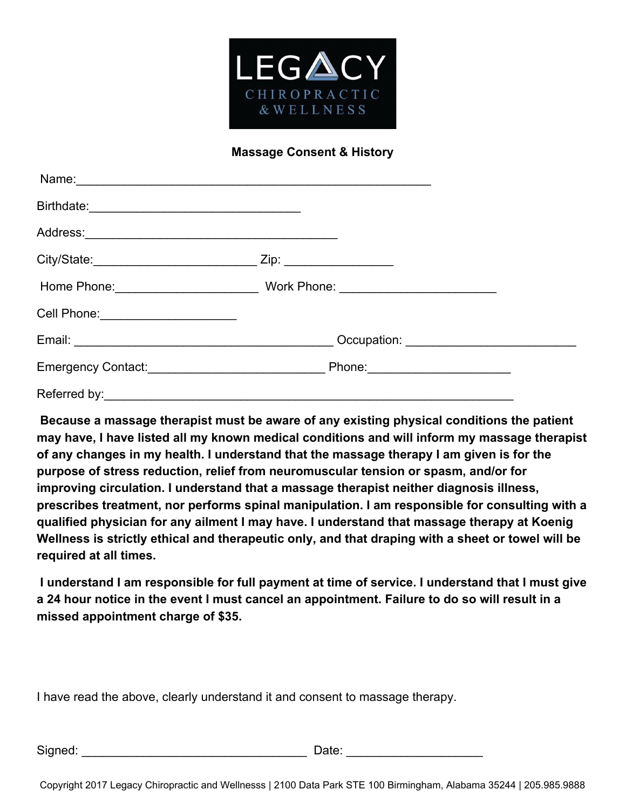

## **Massage Consent & History**

|                                   | Name: Name: Name: Name: Name: Name: Name: Name: Name: Name: Name: Name: Name: Name: Name: Name: Name: Name: Name: Name: Name: Name: Name: Name: Name: Name: Name: Name: Name: Name: Name: Name: Name: Name: Name: Name: Name: |
|-----------------------------------|-------------------------------------------------------------------------------------------------------------------------------------------------------------------------------------------------------------------------------|
|                                   |                                                                                                                                                                                                                               |
|                                   |                                                                                                                                                                                                                               |
|                                   |                                                                                                                                                                                                                               |
|                                   |                                                                                                                                                                                                                               |
| Cell Phone:______________________ |                                                                                                                                                                                                                               |
|                                   |                                                                                                                                                                                                                               |
|                                   | Phone: _________________________                                                                                                                                                                                              |
|                                   |                                                                                                                                                                                                                               |

**Because a massage therapist must be aware of any existing physical conditions the patient may have, I have listed all my known medical conditions and will inform my massage therapist of any changes in my health. I understand that the massage therapy I am given is for the purpose of stress reduction, relief from neuromuscular tension or spasm, and/or for improving circulation. I understand that a massage therapist neither diagnosis illness, prescribes treatment, nor performs spinal manipulation. I am responsible for consulting with a qualified physician for any ailment I may have. I understand that massage therapy at Koenig Wellness is strictly ethical and therapeutic only, and that draping with a sheet or towel will be required at all times.**

 **I understand I am responsible for full payment at time of service. I understand that I must give a 24 hour notice in the event I must cancel an appointment. Failure to do so will result in a missed appointment charge of \$35.**

I have read the above, clearly understand it and consent to massage therapy.

Signed: \_\_\_\_\_\_\_\_\_\_\_\_\_\_\_\_\_\_\_\_\_\_\_\_\_\_\_\_\_\_\_\_\_ Date: \_\_\_\_\_\_\_\_\_\_\_\_\_\_\_\_\_\_\_\_

Copyright 2017 Legacy Chiropractic and Wellnesss | 2100 Data Park STE 100 Birmingham, Alabama 35244 | 205.985.9888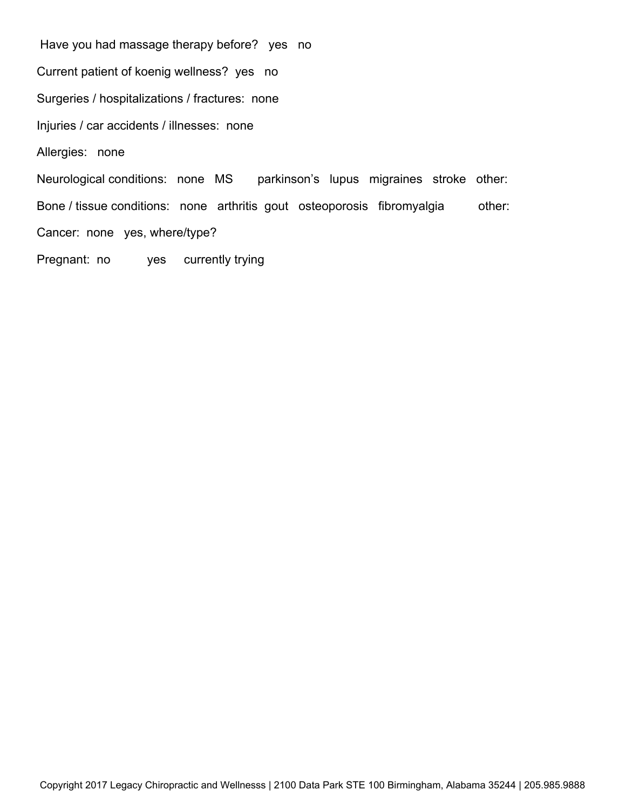Have you had massage therapy before? yes no Current patient of koenig wellness? yes no Surgeries / hospitalizations / fractures: none Injuries / car accidents / illnesses: none Allergies: none Neurological conditions: none MS parkinson's lupus migraines stroke other: Bone / tissue conditions: none arthritis gout osteoporosis fibromyalgia other: Cancer: none yes, where/type? Pregnant: no yes currently trying